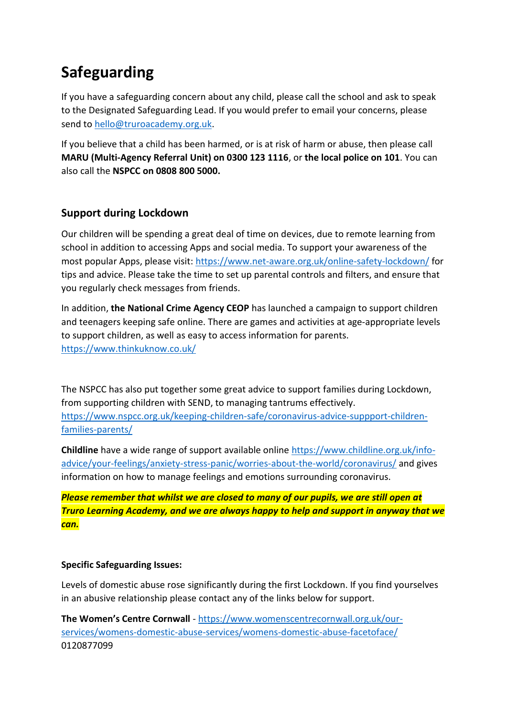## **Safeguarding**

If you have a safeguarding concern about any child, please call the school and ask to speak to the Designated Safeguarding Lead. If you would prefer to email your concerns, please send to [hello@truroacademy.org.uk.](mailto:hello@truroacademy.org.uk)

If you believe that a child has been harmed, or is at risk of harm or abuse, then please call **MARU (Multi-Agency Referral Unit) on 0300 123 1116**, or **the local police on 101**. You can also call the **NSPCC on 0808 800 5000.**

## **Support during Lockdown**

Our children will be spending a great deal of time on devices, due to remote learning from school in addition to accessing Apps and social media. To support your awareness of the most popular Apps, please visit:<https://www.net-aware.org.uk/online-safety-lockdown/> for tips and advice. Please take the time to set up parental controls and filters, and ensure that you regularly check messages from friends.

In addition, **the National Crime Agency CEOP** has launched a campaign to support children and teenagers keeping safe online. There are games and activities at age-appropriate levels to support children, as well as easy to access information for parents. <https://www.thinkuknow.co.uk/>

The NSPCC has also put together some great advice to support families during Lockdown, from supporting children with SEND, to managing tantrums effectively. [https://www.nspcc.org.uk/keeping-children-safe/coronavirus-advice-suppport-children](https://www.nspcc.org.uk/keeping-children-safe/coronavirus-advice-suppport-children-families-parents/)[families-parents/](https://www.nspcc.org.uk/keeping-children-safe/coronavirus-advice-suppport-children-families-parents/)

**Childline** have a wide range of support available online [https://www.childline.org.uk/info](https://www.childline.org.uk/info-advice/your-feelings/anxiety-stress-panic/worries-about-the-world/coronavirus/)[advice/your-feelings/anxiety-stress-panic/worries-about-the-world/coronavirus/](https://www.childline.org.uk/info-advice/your-feelings/anxiety-stress-panic/worries-about-the-world/coronavirus/) and gives information on how to manage feelings and emotions surrounding coronavirus.

*Please remember that whilst we are closed to many of our pupils, we are still open at Truro Learning Academy, and we are always happy to help and support in anyway that we can.*

## **Specific Safeguarding Issues:**

Levels of domestic abuse rose significantly during the first Lockdown. If you find yourselves in an abusive relationship please contact any of the links below for support.

**The Women's Centre Cornwall** - [https://www.womenscentrecornwall.org.uk/our](https://www.womenscentrecornwall.org.uk/our-services/womens-domestic-abuse-services/womens-domestic-abuse-facetoface/)[services/womens-domestic-abuse-services/womens-domestic-abuse-facetoface/](https://www.womenscentrecornwall.org.uk/our-services/womens-domestic-abuse-services/womens-domestic-abuse-facetoface/)  0120877099